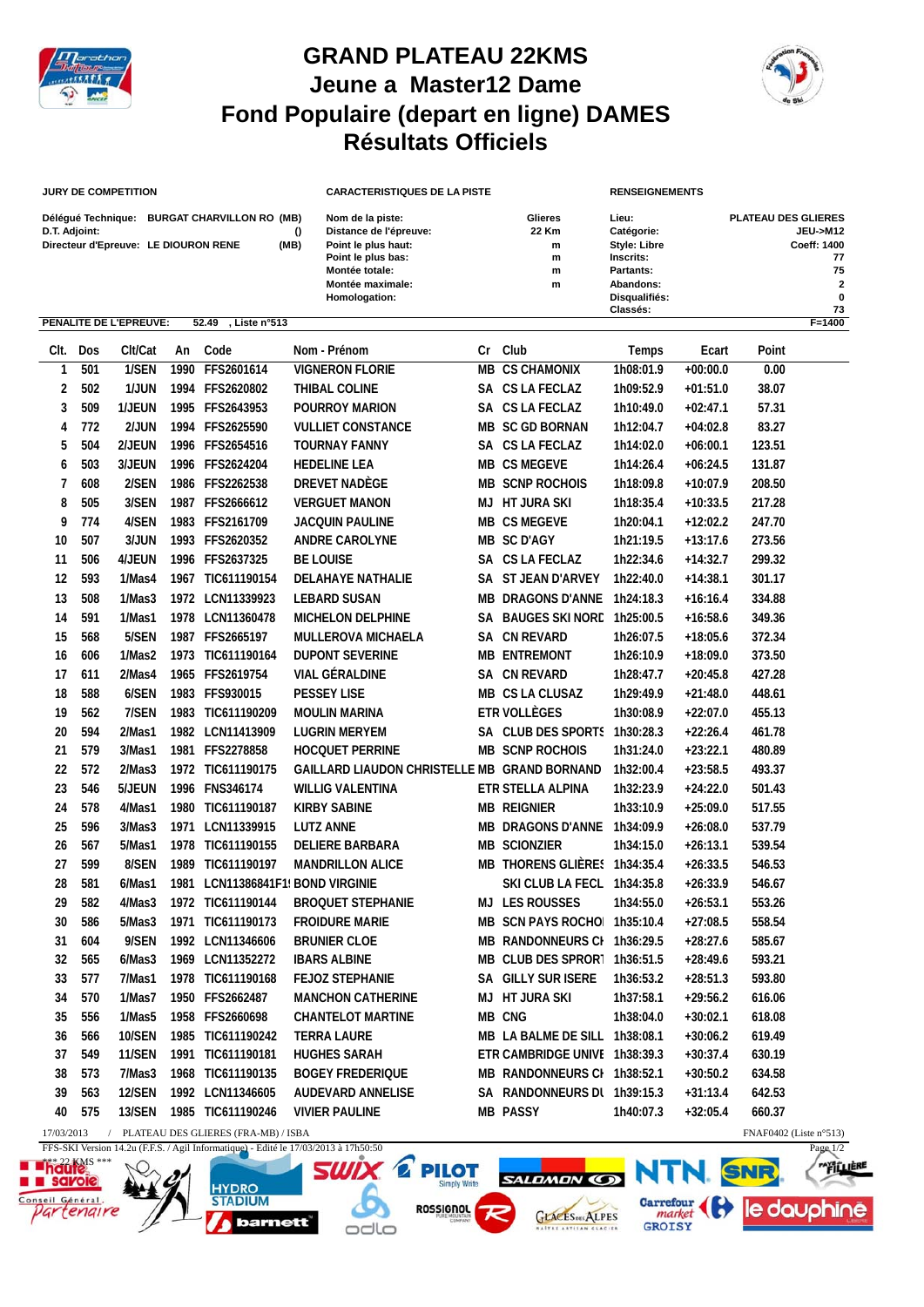

## **GRAND PLATEAU 22KMS Jeune a Master12 Dame Fond Populaire (depart en ligne) DAMES Résultats Officiels**



le dauphine

**ALIERE** 

NTN.

Carrefour<br>
market<br>
GROISY

**SALDMON CO** 

**GLACES**<sub>DES</sub> ALPES

**EX** 

## **JURY DE COMPETITION**

**HYDRC** 

**STADIUM** 

barnett

savoie

eil Général

tengire

| Délégué Technique:                   | <b>BURGAT CHARVILLON RO (MB)</b> |      |
|--------------------------------------|----------------------------------|------|
| D.T. Adjoint:                        |                                  |      |
| Directeur d'Epreuve: LE DIOURON RENE |                                  | (MB) |

| <b>JURY DE COMPETITION</b>                            |                                              |           | <b>CARACTERISTIQUES DE LA PISTE</b>                                                                                                            |    |                                      | <b>RENSEIGNEMENTS</b>                                                                                          |       |                            |                                                                            |
|-------------------------------------------------------|----------------------------------------------|-----------|------------------------------------------------------------------------------------------------------------------------------------------------|----|--------------------------------------|----------------------------------------------------------------------------------------------------------------|-------|----------------------------|----------------------------------------------------------------------------|
| D.T. Adjoint:<br>Directeur d'Epreuve: LE DIOURON RENE | Délégué Technique: BURGAT CHARVILLON RO (MB) | 0<br>(MB) | Nom de la piste:<br>Distance de l'épreuve:<br>Point le plus haut:<br>Point le plus bas:<br>Montée totale:<br>Montée maximale:<br>Homologation: |    | Glieres<br>22 Km<br>m<br>m<br>m<br>m | Lieu:<br>Catégorie:<br><b>Style: Libre</b><br>Inscrits:<br>Partants:<br>Abandons:<br>Disqualifiés:<br>Classés: |       | <b>PLATEAU DES GLIERES</b> | <b>JEU-&gt;M12</b><br>Coeff: 1400<br>77<br>75<br>$\overline{2}$<br>0<br>73 |
| PENALITE DE L'EPREUVE:                                | 52.49<br>Liste n°513.                        |           |                                                                                                                                                |    |                                      |                                                                                                                |       |                            | $F = 1400$                                                                 |
| Clt/Cat<br>Clt.<br>Dos                                | Code<br>An                                   |           | Nom - Prénom                                                                                                                                   | Cr | Club                                 | Temps                                                                                                          | Ecart | Point                      |                                                                            |

|                                                                                                   | Clt. Dos | Clt/Cat       | An | Code                                | Nom - Prénom                                 |  | Cr Club                       | Temps     | Ecart      | Point                     |
|---------------------------------------------------------------------------------------------------|----------|---------------|----|-------------------------------------|----------------------------------------------|--|-------------------------------|-----------|------------|---------------------------|
| 1                                                                                                 | 501      | 1/SEN         |    | 1990 FFS2601614                     | <b>VIGNERON FLORIE</b>                       |  | <b>MB CS CHAMONIX</b>         | 1h08:01.9 | $+00:00.0$ | 0.00                      |
| 2                                                                                                 | 502      | 1/JUN         |    | 1994 FFS2620802                     | THIBAL COLINE                                |  | SA CS LA FECLAZ               | 1h09:52.9 | $+01:51.0$ | 38.07                     |
| 3                                                                                                 | 509      | 1/JEUN        |    | 1995 FFS2643953                     | <b>POURROY MARION</b>                        |  | SA CS LA FECLAZ               | 1h10:49.0 | $+02:47.1$ | 57.31                     |
| 4                                                                                                 | 772      | 2/JUN         |    | 1994 FFS2625590                     | <b>VULLIET CONSTANCE</b>                     |  | <b>MB SC GD BORNAN</b>        | 1h12:04.7 | $+04:02.8$ | 83.27                     |
| 5                                                                                                 | 504      | 2/JEUN        |    | 1996 FFS2654516                     | <b>TOURNAY FANNY</b>                         |  | SA CS LA FECLAZ               | 1h14:02.0 | $+06:00.1$ | 123.51                    |
| 6                                                                                                 | 503      | 3/JEUN        |    | 1996 FFS2624204                     | <b>HEDELINE LEA</b>                          |  | MB CS MEGEVE                  | 1h14:26.4 | $+06:24.5$ | 131.87                    |
| 7                                                                                                 | 608      | 2/SEN         |    | 1986 FFS2262538                     | DREVET NADÈGE                                |  | <b>MB SCNP ROCHOIS</b>        | 1h18:09.8 | $+10:07.9$ | 208.50                    |
| 8                                                                                                 | 505      | 3/SEN         |    | 1987 FFS2666612                     | <b>VERGUET MANON</b>                         |  | MJ HT JURA SKI                | 1h18:35.4 | $+10:33.5$ | 217.28                    |
| 9                                                                                                 | 774      | 4/SEN         |    | 1983 FFS2161709                     | <b>JACQUIN PAULINE</b>                       |  | MB CS MEGEVE                  | 1h20:04.1 | $+12:02.2$ | 247.70                    |
| 10                                                                                                | 507      | 3/JUN         |    | 1993 FFS2620352                     | <b>ANDRE CAROLYNE</b>                        |  | <b>MB SC D'AGY</b>            | 1h21:19.5 | $+13:17.6$ | 273.56                    |
| 11                                                                                                | 506      | 4/JEUN        |    | 1996 FFS2637325                     | <b>BE LOUISE</b>                             |  | SA CS LA FECLAZ               | 1h22:34.6 | $+14:32.7$ | 299.32                    |
| 12                                                                                                | 593      | 1/Mas4        |    | 1967 TIC611190154                   | DELAHAYE NATHALIE                            |  | SA ST JEAN D'ARVEY            | 1h22:40.0 | +14:38.1   | 301.17                    |
| 13                                                                                                | 508      | 1/Mas3        |    | 1972 LCN11339923                    | <b>LEBARD SUSAN</b>                          |  | MB DRAGONS D'ANNE 1h24:18.3   |           | $+16:16.4$ | 334.88                    |
| 14                                                                                                | 591      | 1/Mas1        |    | 1978 LCN11360478                    | MICHELON DELPHINE                            |  | SA BAUGES SKI NORE 1h25:00.5  |           | $+16:58.6$ | 349.36                    |
| 15                                                                                                | 568      | 5/SEN         |    | 1987 FFS2665197                     | <b>MULLEROVA MICHAELA</b>                    |  | SA CN REVARD                  | 1h26:07.5 | $+18:05.6$ | 372.34                    |
| 16                                                                                                | 606      | 1/Mas2        |    | 1973 TIC611190164                   | <b>DUPONT SEVERINE</b>                       |  | <b>MB ENTREMONT</b>           | 1h26:10.9 | $+18:09.0$ | 373.50                    |
| 17                                                                                                | 611      | 2/Mas4        |    | 1965 FFS2619754                     | <b>VIAL GÉRALDINE</b>                        |  | SA CN REVARD                  | 1h28:47.7 | $+20:45.8$ | 427.28                    |
| 18                                                                                                | 588      | 6/SEN         |    | 1983 FFS930015                      | PESSEY LISE                                  |  | MB CS LA CLUSAZ               | 1h29:49.9 | $+21:48.0$ | 448.61                    |
| 19                                                                                                | 562      | 7/SEN         |    | 1983 TIC611190209                   | <b>MOULIN MARINA</b>                         |  | ETR VOLLÈGES                  | 1h30:08.9 | $+22:07.0$ | 455.13                    |
| 20                                                                                                | 594      | 2/Mas1        |    | 1982 LCN11413909                    | <b>LUGRIN MERYEM</b>                         |  | SA CLUB DES SPORTS 1h30:28.3  |           | $+22:26.4$ | 461.78                    |
| 21                                                                                                | 579      | 3/Mas1        |    | 1981 FFS2278858                     | <b>HOCQUET PERRINE</b>                       |  | <b>MB SCNP ROCHOIS</b>        | 1h31:24.0 | $+23:22.1$ | 480.89                    |
| 22                                                                                                | 572      | 2/Mas3        |    | 1972 TIC611190175                   | GAILLARD LIAUDON CHRISTELLE MB GRAND BORNAND |  |                               | 1h32:00.4 | $+23:58.5$ | 493.37                    |
| 23                                                                                                | 546      | 5/JEUN        |    | 1996 FNS346174                      | <b>WILLIG VALENTINA</b>                      |  | ETR STELLA ALPINA             | 1h32:23.9 | $+24:22.0$ | 501.43                    |
| 24                                                                                                | 578      | 4/Mas1        |    | 1980 TIC611190187                   | <b>KIRBY SABINE</b>                          |  | <b>MB REIGNIER</b>            | 1h33:10.9 | $+25:09.0$ | 517.55                    |
| 25                                                                                                | 596      | 3/Mas3        |    | 1971 LCN11339915                    | <b>LUTZ ANNE</b>                             |  | <b>MB DRAGONS D'ANNE</b>      | 1h34:09.9 | $+26:08.0$ | 537.79                    |
| 26                                                                                                | 567      | 5/Mas1        |    | 1978 TIC611190155                   | <b>DELIERE BARBARA</b>                       |  | <b>MB SCIONZIER</b>           | 1h34:15.0 | $+26:13.1$ | 539.54                    |
| 27                                                                                                | 599      | 8/SEN         |    | 1989 TIC611190197                   | <b>MANDRILLON ALICE</b>                      |  | MB THORENS GLIÈRES 1h34:35.4  |           | $+26:33.5$ | 546.53                    |
| 28                                                                                                | 581      | 6/Mas1        |    | 1981 LCN11386841F1' BOND VIRGINIE   |                                              |  | SKI CLUB LA FECL 1h34:35.8    |           | $+26:33.9$ | 546.67                    |
| 29                                                                                                | 582      | 4/Mas3        |    | 1972 TIC611190144                   | <b>BROQUET STEPHANIE</b>                     |  | MJ LES ROUSSES                | 1h34:55.0 | $+26:53.1$ | 553.26                    |
| 30                                                                                                | 586      | 5/Mas3        |    | 1971 TIC611190173                   | <b>FROIDURE MARIE</b>                        |  | MB SCN PAYS ROCHO 1h35:10.4   |           | $+27:08.5$ | 558.54                    |
| 31                                                                                                | 604      | 9/SEN         |    | 1992 LCN11346606                    | <b>BRUNIER CLOE</b>                          |  | MB RANDONNEURS CI 1h36:29.5   |           | $+28:27.6$ | 585.67                    |
| 32                                                                                                | 565      | 6/Mas3        |    | 1969 LCN11352272                    | <b>IBARS ALBINE</b>                          |  | MB CLUB DES SPROR1 1h36:51.5  |           | $+28:49.6$ | 593.21                    |
| 33                                                                                                | 577      | 7/Mas1        |    | 1978 TIC611190168                   | <b>FEJOZ STEPHANIE</b>                       |  | SA GILLY SUR ISERE            | 1h36:53.2 | $+28:51.3$ | 593.80                    |
| 34                                                                                                | 570      | 1/Mas7        |    | 1950 FFS2662487                     | <b>MANCHON CATHERINE</b>                     |  | MJ HT JURA SKI                | 1h37:58.1 | $+29:56.2$ | 616.06                    |
| 35                                                                                                | 556      | 1/Mas5        |    | 1958 FFS2660698                     | <b>CHANTELOT MARTINE</b>                     |  | MB CNG                        | 1h38:04.0 | $+30:02.1$ | 618.08                    |
| 36                                                                                                | 566      |               |    | 10/SEN  1985 TIC611190242           | TERRA LAURE                                  |  | MB LA BALME DE SILL 1h38:08.1 |           | +30:06.2   | 619.49                    |
| 37                                                                                                | 549      | 11/SEN        |    | 1991 TIC611190181                   | <b>HUGHES SARAH</b>                          |  | ETR CAMBRIDGE UNIVE 1h38:39.3 |           | $+30:37.4$ | 630.19                    |
| 38                                                                                                | 573      | 7/Mas3        |    | 1968 TIC611190135                   | <b>BOGEY FREDERIQUE</b>                      |  | MB RANDONNEURS CI 1h38:52.1   |           | $+30:50.2$ | 634.58                    |
| 39                                                                                                | 563      | <b>12/SEN</b> |    | 1992 LCN11346605                    | AUDEVARD ANNELISE                            |  | SA RANDONNEURS DL 1h39:15.3   |           | $+31:13.4$ | 642.53                    |
| 40                                                                                                | 575      | 13/SEN        |    | 1985 TIC611190246                   | <b>VIVIER PAULINE</b>                        |  | <b>MB PASSY</b>               | 1h40:07.3 | $+32:05.4$ | 660.37                    |
| 17/03/2013                                                                                        |          |               |    | PLATEAU DES GLIERES (FRA-MB) / ISBA |                                              |  |                               |           |            | FNAF0402 (Liste $n°513$ ) |
| FFS-SKI Version 14.2u (F.F.S. / Agil Informatique) - Edité le 17/03/2013 à 17h50:50<br>Page $1/2$ |          |               |    |                                     |                                              |  |                               |           |            |                           |
| haute <sup>ss</sup>                                                                               |          |               |    |                                     |                                              |  |                               |           |            |                           |

**ROSSIGNOL** 

odlo

7